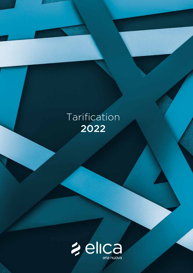# Tarification 2022

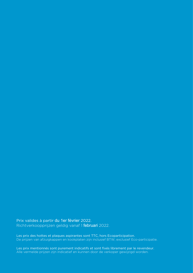Prix valides à partir du 1er février 2022. Richtverkoopprijzen geldig vanaf 1 februari 2022.

Les prix des hottes et plaques aspirantes sont TTC, hors Ecoparticipation. De prijzen van afzuigkappen en kookplaten zijn inclusief BTW, exclusief Eco-participatie.

Les prix mentionnés sont purement indicatifs et sont fixés librement par le revendeur. Alle vermelde prijzen zijn indicatief en kunnen door de verkoper gewijzigd worden.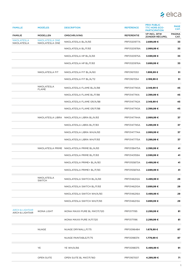

| <b>FAMILLE</b>                                           | <b>MODÈLES</b>                     | <b>DESCRIPTION</b>                          | <b>REFÉRENCE</b>  | <b>PRIX PUBLIC</b><br><b>TTC HORS ECO-</b><br><b>PARTICIPATION</b> | <b>PAGE</b><br>CAT.   |
|----------------------------------------------------------|------------------------------------|---------------------------------------------|-------------------|--------------------------------------------------------------------|-----------------------|
| <b>FAMILIE</b>                                           | <b>MODELLEN</b>                    | <b>OMSCHRIJVING</b>                         | <b>REFERENTIE</b> | <b>VP INCL. BTW</b><br>ZONDER RÉCUPEL                              | <b>PAGINA</b><br>CAT. |
| <b>NIKOLATESLA</b><br>NIKOLATESLA                        | NIKOLATESLA ONE<br>NIKOLATESLA ONE | NIKOLATESLA BL/A/83                         | PRF0120977A       | 2.699,99€                                                          | 33                    |
|                                                          |                                    | NIKOLATESLA BL/F/83                         | PRF0120978A       | 2.999,99 €                                                         | 33                    |
|                                                          |                                    | NIKOLATESLA HP BL/A/83                      | PRF0120975A       | 3.599,99 €                                                         | 33                    |
|                                                          |                                    | NIKOLATESLA HP BL/F/83                      | PRF0120976A       | 3.899,99 €                                                         | 33                    |
|                                                          | NIKOLATESLA FIT                    | NIKOLATESLA FIT BL/A/60                     | PRF0167053        | 1.999,99 €                                                         | 51                    |
|                                                          |                                    | NIKOLATESLA FIT BL/A/72                     | PRF0167054        | 2.199,99€                                                          | 51                    |
|                                                          | NIKOLATESLA<br><b>FLAME</b>        | NIKOLATESLA FLAME BL/A/88                   | PRF0147740A       | 2.149,99€                                                          | 45                    |
|                                                          |                                    | NIKOLATESLA FLAME BL/F/88                   | PRF0147741A       | 2.399,99 €                                                         | 45                    |
|                                                          |                                    | NIKOLATESLA FLAME GR/A/88                   | PRF0147742A       | 2.149,99€                                                          | 45                    |
|                                                          |                                    | NIKOLATESLA FLAME GR/F/88                   | PRF0147743A       | 2.399,99 €                                                         | 45                    |
|                                                          |                                    | NIKOLATESLA LIBRA NIKOLATESLA LIBRA BL/A/83 | PRF0147744A       | 2.999,99€                                                          | 37                    |
|                                                          |                                    | NIKOLATESLA LIBRA BL/F/83                   | PRF0147745A       | 3.299,99 €                                                         | 37                    |
|                                                          |                                    | NIKOLATESLA LIBRA WH/A/83                   | PRF0147774A       | 2.999,99€                                                          | 37                    |
|                                                          |                                    | NIKOLATESLA LIBRA WH/F/83                   | PRF0147775A       | 3.299,99 €                                                         | 37                    |
|                                                          |                                    | NIKOLATESLA PRIME NIKOLATESLA PRIME BL/A/83 | PRF0138475A       | 2.399,99 €                                                         | 41                    |
|                                                          |                                    | NIKOLATESLA PRIME BL/F/83                   | PRF0143159A       | 2.599,99€                                                          | 41                    |
|                                                          |                                    | NIKOLATESLA PRIME+ BL/A/83                  | PRF0155873A       | 2.499,99 €                                                         | 41                    |
|                                                          |                                    | NIKOLATESLA PRIME+ BL/F/83                  | PRF0155874A       | 2.699,99€                                                          | 41                    |
|                                                          | NIKOLATESLA<br><b>SWITCH</b>       | NIKOLATESLA SWITCH BL/A/83                  | PRF0146212A       | 3.499,99€                                                          | 29                    |
|                                                          |                                    | NIKOLATESLA SWITCH BL/F/83                  | PRF0146210A       | 3.899,99 €                                                         | 29                    |
|                                                          |                                    | NIKOLATESLA SWITCH WH/A/83                  | PRF0146216A       | 3.499,99 €                                                         | 29                    |
|                                                          |                                    | NIKOLATESLA SWITCH WH/F/83                  | PRF0146213A       | 3.899,99 €                                                         | 29                    |
| <b>ARCH &amp; LIGHTAIR</b><br><b>ARCH &amp; LIGHTAIR</b> | <b>IKONA LIGHT</b>                 | IKONA MAXXI PURE BL MAT/F/120               | PRF0171195        | 2.299,99€                                                          | 81                    |
|                                                          |                                    | IKONA MAXXI PURE IX/F/120                   | PRF0171196        | 2.299,99€                                                          | 81                    |
|                                                          | <b>NUAGE</b>                       | NUAGE DRYWALL/F/75                          | PRF0096484        | 1.679,99€                                                          | 87                    |
|                                                          |                                    | NUAGE PAINTABLE/F/75                        | PRF0098374        | 1.779,99€                                                          | 87                    |
|                                                          | <b>YE</b>                          | <b>YE WH/A/66</b>                           | PRF0098375        | 5.499,99€                                                          | 91                    |
|                                                          | OPEN SUITE                         | OPEN SUITE BL MAT/F/160                     | PRF0167007        | 4.299,99€                                                          | 71                    |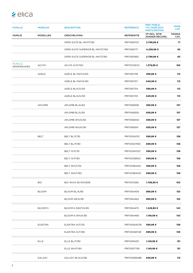| <b>FAMILLE</b>              | <b>MODÈLES</b>  | <b>DESCRIPTION</b>               | <b>REFÉRENCE</b>  | <b>PRIX PUBLIC</b><br><b>TTC HORS ECO-</b><br><b>PARTICIPATION</b> | <b>PAGE</b><br>CAT.   |
|-----------------------------|-----------------|----------------------------------|-------------------|--------------------------------------------------------------------|-----------------------|
| <b>FAMILIE</b>              | <b>MODELLEN</b> | <b>OMSCHRIJVING</b>              | <b>REFERENTIE</b> | <b>VP INCL. BTW</b><br><b>ZONDER RÉCUPEL</b>                       | <b>PAGINA</b><br>CAT. |
|                             |                 | OPEN SUITE BL MAT/F/80           | PRF0166703        | 2.799,99€                                                          | 71                    |
|                             |                 | OPEN SUITE SUPERIOR BL MAT/F/160 | PRF0166771        | 4.299,99 €                                                         | 65                    |
|                             |                 | OPEN SUITE SUPERIOR BL MAT/F/80  | PRF0165965        | 2.799,99 €                                                         | 65                    |
| <b>MURALE</b><br>WANDKEUKEN | <b>ACUTA</b>    | ACUTA IX/F/100                   | PRF0121267A       | 1.379,99 €                                                         | 165                   |
|                             | ADELE           | ADÉLE BL MAT/A/60                | PRF0167318        | 599,99€                                                            | 113                   |
|                             |                 | ADÉLE BL MAT/A/90                | PRF0167317        | 649,99€                                                            | 113                   |
|                             |                 | ADÉLE BLIX/A/60                  | PRF0167314        | 599,99€                                                            | 113                   |
|                             |                 | ADÉLE BLIX/A/90                  | PRF0167315        | 649,99€                                                            | 113                   |
|                             | APLOMB          | APLOMB BL/A/60                   | PRF0166938        | 599,99€                                                            | 157                   |
|                             |                 | APLOMB BL/A/90                   | PRF0166939        | 659,99€                                                            | 157                   |
|                             |                 | APLOMB WH/A/60                   | PRF0166940        | 599,99€                                                            | 157                   |
|                             |                 | APLOMB WH/A/90                   | PRF0166941        | 659,99€                                                            | 157                   |
|                             | <b>BELT</b>     | BELT BL/F/55                     | PRF0034211C       | 599,99€                                                            | 158                   |
|                             |                 | BELT BL/F/80                     | PRF0032793C       | 699,99€                                                            | 158                   |
|                             |                 | BELT IX/F/55                     | PRF0034012C       | 599,99€                                                            | 158                   |
|                             |                 | BELT IX/F/80                     | PRF0033852C       | 699,99€                                                            | 158                   |
|                             |                 | BELT WH/F/55                     | PRF0038445C       | 599,99€                                                            | 158                   |
|                             |                 | BELT WH/F/80                     | PRF0038443C       | 699,99€                                                            | 158                   |
|                             | <b>BIO</b>      | BIO WH/A 90 ROVERE               | PRF0147266        | 1.799,99€                                                          | 103                   |
|                             | <b>BLOOM</b>    | BLOOM BL/A/85                    | PRF0164459        | 899,99€                                                            | 153                   |
|                             |                 | BLOOM GR/A/85                    | PRF0164462        | 899,99€                                                            | 153                   |
|                             | <b>BLOOM S</b>  | BLOOM-S DEKT/A/85                | PRF0164475        | 1.249,99€                                                          | 143                   |
|                             |                 | BLOOM-S WH/A/85                  | PRF0164490        | 1.149,99 €                                                         | 143                   |
|                             | <b>ELEKTRA</b>  | ELEKTRA IX/F/55                  | PRF0006407B       | 599,99€                                                            | 159                   |
|                             |                 | ELEKTRA IX/F/80                  | PRF0006872B       | 699,99€                                                            | 159                   |
|                             | <b>ELLE</b>     | ELLE BL/F/80                     | PRF0094251        | 1.149,99€                                                          | 151                   |
|                             |                 | ELLE WH/F/80                     | PRF0097706        | 1.149,99 €                                                         | 151                   |
|                             | GALAXY          | GALAXY BLIX/A/80                 | PRF0008948B       | 849,99€                                                            | 115                   |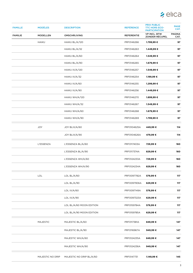

| <b>FAMILLE</b> | <b>MODÈLES</b>   | <b>DESCRIPTION</b>       | <b>REFÉRENCE</b>  | <b>PRIX PUBLIC</b><br><b>TTC HORS ECO-</b><br><b>PARTICIPATION</b> | <b>PAGE</b><br>CAT.   |
|----------------|------------------|--------------------------|-------------------|--------------------------------------------------------------------|-----------------------|
| <b>FAMILIE</b> | <b>MODELLEN</b>  | <b>OMSCHRIJVING</b>      | <b>REFERENTIE</b> | <b>VP INCL. BTW</b><br><b>ZONDER RÉCUPEL</b>                       | <b>PAGINA</b><br>CAT. |
|                | <b>HAIKU</b>     | HAIKU BL/A/120           | PRF0146266        | 1.799,99 €                                                         | 97                    |
|                |                  | HAIKU BL/A/32            | PRF0146263        | 1.449,99 €                                                         | 97                    |
|                |                  | HAIKU BL/A/60            | PRF0146264        | 1.549,99€                                                          | 97                    |
|                |                  | HAIKU BL/A/90            | PRF0146265        | 1.679,99 €                                                         | 97                    |
|                |                  | HAIKU IX/A/120           | PRF0146257        | 1.549,99€                                                          | 97                    |
|                |                  | HAIKU IX/A/32            | PRF0146254        | 1.199,99 €                                                         | 97                    |
|                |                  | HAIKU IX/A/60            | PRF0146255        | 1.299,99€                                                          | 97                    |
|                |                  | HAIKU IX/A/90            | PRF0146256        | 1.449,99 €                                                         | 97                    |
|                |                  | HAIKU WH/A/120           | PRF0146270        | 1.899,99€                                                          | 97                    |
|                |                  | HAIKU WH/A/32            | PRF0146267        | 1.549,99 €                                                         | 97                    |
|                |                  | HAIKU WH/A/60            | PRF0146268        | 1.679,99€                                                          | 97                    |
|                |                  | HAIKU WH/A/90            | PRF0146269        | 1.799,99 €                                                         | 97                    |
|                | <b>JOY</b>       | JOY BLIX/A/60            | PRF0104625A       | 449,99€                                                            | 114                   |
|                |                  | JOY BLIX/A/90            | PRF0104626A       | 479,99€                                                            | 114                   |
|                | L'ESSENZA        | L'ESSENZA BL/A/60        | PRF0117403A       | 729,99€                                                            | 160                   |
|                |                  | L'ESSENZA BL/A/90        | PRF0117374A       | 829,99€                                                            | 160                   |
|                |                  | L'ESSENZA WH/A/60        | PRF0124233A       | 729,99€                                                            | 160                   |
|                |                  | L'ESSENZA WH/A/90        | PRF0124234A       | 829,99€                                                            | 160                   |
|                | LOL              | LOL BL/A/60              | PRF0097782A       | 579,99€                                                            | 117                   |
|                |                  | LOL BL/A/90              | PRF0097906A       | 629,99€                                                            | 117                   |
|                |                  | LOL IX/A/60              | PRF0097149A       | 579,99€                                                            | 117                   |
|                |                  | LOL IX/A/90              | PRF0097323A       | 629,99€                                                            | 117                   |
|                |                  | LOL BL/A/60 MOON EDITION | PRF0159784A       | 579,99€                                                            | 117                   |
|                |                  | LOL BL/A/90 MOON EDITION | PRF0159785A       | 629,99€                                                            | 117                   |
|                | <b>MAJESTIC</b>  | MAJESTIC BL/A/60         | PRF0117381A       | 849,99€                                                            | 147                   |
|                |                  | MAJESTIC BL/A/90         | PRF0116967A       | 949,99€                                                            | 147                   |
|                |                  | MAJESTIC WH/A/60         | PRF0124235A       | 849,99€                                                            | 147                   |
|                |                  | MAJESTIC WH/A/90         | PRF0124236A       | 949,99€                                                            | 147                   |
|                | MAJESTIC NO DRIP | MAJESTIC NO DRIP BL/A/60 | PRF0147731        | 1.149,99€                                                          | 145                   |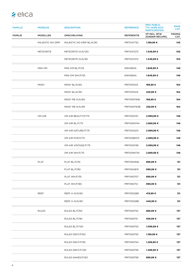| <b>FAMILLE</b> | <b>MODÈLES</b>   | <b>DESCRIPTION</b>       | <b>REFÉRENCE</b>  | <b>PRIX PUBLIC</b><br><b>TTC HORS ECO-</b><br><b>PARTICIPATION</b> | <b>PAGE</b><br>CAT.   |
|----------------|------------------|--------------------------|-------------------|--------------------------------------------------------------------|-----------------------|
| <b>FAMILIE</b> | <b>MODELLEN</b>  | <b>OMSCHRIJVING</b>      | <b>REFERENTIE</b> | <b>VP INCL. BTW</b><br><b>ZONDER RÉCUPEL</b>                       | <b>PAGINA</b><br>CAT. |
|                | MAJESTIC NO DRIP | MAJESTIC NO DRIP BL/A/90 | PRF0147732        | 1.199,99 €                                                         | 145                   |
|                | <b>METEORITE</b> | METEORITE IX/A/120       | PRF0147273        | 1.549,99€                                                          | 105                   |
|                |                  | METEORITE IX/A/90        | PRF0147272        | 1.449,99€                                                          | 105                   |
|                | MINI OM          | MINI OM BL/F/55          | 61614583A         | 1.849,99 €                                                         | 149                   |
|                |                  | MINI OM WH/F/55          | 61614584A         | 1.849,99 €                                                         | 149                   |
|                | <b>MISSY</b>     | MISSY BL/A/60            | PRF0151543        | 189,99€                                                            | 164                   |
|                |                  | MISSY BL/A/90            | PRF0151544        | 229,99€                                                            | 164                   |
|                |                  | MISSY PB IX/A/60         | PRF0091761B       | 199,99€                                                            | 164                   |
|                |                  | MISSY PB IX/A/90         | PRF0091763B       | 239,99€                                                            | 164                   |
|                | OM AIR           | OM AIR BEAUTY/F/75       | PRF0100137        | 2.999,99€                                                          | 148                   |
|                |                  | OM AIR BL/F/75           | PRF0094744        | 2.869,99 €                                                         | 148                   |
|                |                  | OM AIR NATURE/F/75       | PRF0100231        | 2.999,99 €                                                         | 148                   |
|                |                  | OM AIR POP/F/75          | PRF0098373        | 2.999,99€                                                          | 148                   |
|                |                  | OM AIR VINTAGE/F/75      | PRF0100138        | 2.999,99 €                                                         | 148                   |
|                |                  | OM AIR WH/F/75           | PRF0094734        | 2.869,99 €                                                         | 148                   |
|                | <b>PLAT</b>      | PLAT BL/F/55             | PRF0164946        | 899,99€                                                            | 131                   |
|                |                  | PLAT BL/F/80             | PRF0164874        | 999,99€                                                            | 131                   |
|                |                  | PLAT WH/F/55             | PRF0165707        | 899,99€                                                            | 131                   |
|                |                  | PLAT WH/F/80             | PRF0165712        | 999,99€                                                            | 131                   |
|                | REEF             | REEF A IX/A/60           | PRF0150289        | 419,99€                                                            | 121                   |
|                |                  | REEF A IX/A/90           | PRF0150288        | 449,99€                                                            | 121                   |
|                | <b>RULES</b>     | RULES BL/F/60            | PRF0163752        | 889,99 €                                                           | 137                   |
|                |                  | RULES BL/F/90            | PRF0163751        | 939,99€                                                            | 137                   |
|                |                  | RULES BL/F/120           | PRF0163753        | 1.099,99€                                                          | 137                   |
|                |                  | RULES DEKT/F/60          | PRF0163755        | 1.199,99 €                                                         | 137                   |
|                |                  | RULES DEKT/F/90          | PRF0163754        | 1.299,99€                                                          | 137                   |
|                |                  | RULES DEKT/F/120         | PRF0163756        | 1.499,99€                                                          | 137                   |
|                |                  | RULES NAKED/F/60         | PRF0163758        | 899,99€                                                            | 137                   |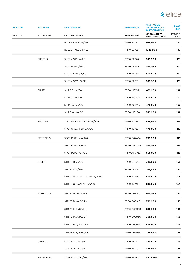

| <b>FAMILLE</b> | <b>MODÈLES</b>    | <b>DESCRIPTION</b>          | <b>REFÉRENCE</b>  | <b>PRIX PUBLIC</b><br><b>TTC HORS ECO-</b><br><b>PARTICIPATION</b> | <b>PAGE</b><br>CAT.   |
|----------------|-------------------|-----------------------------|-------------------|--------------------------------------------------------------------|-----------------------|
| <b>FAMILIE</b> | <b>MODELLEN</b>   | <b>OMSCHRIJVING</b>         | <b>REFERENTIE</b> | <b>VP INCL. BTW</b><br><b>ZONDER RÉCUPEL</b>                       | <b>PAGINA</b><br>CAT. |
|                |                   | RULES NAKED/F/90            | PRF0163757        | 959,99€                                                            | 137                   |
|                |                   | RULES NAKED/F/120           | PRF0163759        | 1.139,99 €                                                         | 137                   |
|                | SHEEN S           | SHEEN-S BL/A/60             | PRF0166928        | 539,99€                                                            | 161                   |
|                |                   | SHEEN-S BL/A/90             | PRF0166929        | 599,99€                                                            | 161                   |
|                |                   | SHEEN-S WH/A/60             | PRF0166930        | 539,99€                                                            | 161                   |
|                |                   | SHEEN-S WH/A/90             | PRF0166931        | 599,99€                                                            | 161                   |
|                | <b>SHIRE</b>      | SHIRE BL/A/60               | PRF0119819A       | 479,99€                                                            | 162                   |
|                |                   | SHIRE BL/A/90               | PRF0119829A       | 539,99€                                                            | 162                   |
|                |                   | SHIRE WH/A/60               | PRF0119823A       | 479,99€                                                            | 162                   |
|                |                   | SHIRE WH/A/90               | PRF0119828A       | 539,99€                                                            | 162                   |
|                | SPOT NG           | SPOT URBAN CAST IRON/A/90   | PRF0147736        | 479,99€                                                            | 119                   |
|                |                   | SPOT URBAN ZINC/A/90        | PRF0147737        | 479,99€                                                            | 119                   |
|                | <b>SPOT PLUS</b>  | SPOT PLUS IX/A/120          | PRF0100242A       | 769,99€                                                            | 118                   |
|                |                   | SPOT PLUS IX/A/60           | PRF0097374A       | 599,99€                                                            | 118                   |
|                |                   | SPOT PLUS IX/A/90           | PRF0097373A       | 659,99€                                                            | 118                   |
|                | <b>STRIPE</b>     | STRIPE BL/A/80              | PRF0164806        | 749,99€                                                            | 155                   |
|                |                   | STRIPE WH/A/80              | PRF0164805        | 749,99€                                                            | 155                   |
|                |                   | STRIPE URBAN CAST IRON/A/90 | PRF0147738        | 839,99€                                                            | 154                   |
|                |                   | STRIPE URBAN ZINC/A/90      | PRF0147739        | 839,99€                                                            | 154                   |
|                | <b>STRIPE LUX</b> | STRIPE BL/A/60/LX           | PRF0100990C       | 659,99€                                                            | 155                   |
|                |                   | STRIPE BL/A/90/LX           | PRF0100991C       | 769,99€                                                            | 155                   |
|                |                   | STRIPE IX/A/60/LX           | PRF0100992C       | 659,99€                                                            | 155                   |
|                |                   | STRIPE IX/A/90/LX           | PRF0100993C       | 769,99€                                                            | 155                   |
|                |                   | STRIPE WH/A/60/LX           | PRF0100994C       | 659,99€                                                            | 155                   |
|                |                   | STRIPE WH/A/90/LX           | PRF0100995C       | 769,99€                                                            | 155                   |
|                | <b>SUN LITE</b>   | SUN LITE IX/A/60            | PRF0168124        | 329,99€                                                            | 163                   |
|                |                   | SUN LITE IX/A/90            | PRF0168130        | 369,99€                                                            | 163                   |
|                | SUPER PLAT        | SUPER PLAT BL/F/80          | PRF0164980        | 1.379,99 €                                                         | 125                   |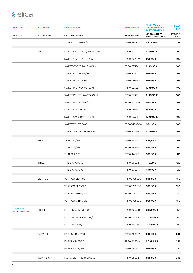| <b>FAMILLE</b>                  | <b>MODÈLES</b>     | <b>DESCRIPTION</b>       | <b>REFÉRENCE</b>  | <b>PRIX PUBLIC</b><br><b>TTC HORS ECO-</b><br><b>PARTICIPATION</b> | <b>PAGE</b><br>CAT.   |
|---------------------------------|--------------------|--------------------------|-------------------|--------------------------------------------------------------------|-----------------------|
| <b>FAMILIE</b>                  | <b>MODELLEN</b>    | <b>OMSCHRIJVING</b>      | <b>REFERENTIE</b> | <b>VP INCL. BTW</b><br><b>ZONDER RÉCUPEL</b>                       | <b>PAGINA</b><br>CAT. |
|                                 |                    | SUPER PLAT GR/F/80       | PRF0165017        | 1.379,99€                                                          | 125                   |
|                                 | SWEET              | SWEET CAST IRON/A/85+CAM | PRF0167319        | 1.149,99 €                                                         | 109                   |
|                                 |                    | SWEET CAST IRON/F/85     | PRF0120702A       | 999,99€                                                            | 109                   |
|                                 |                    | SWEET COPPER/A/85+CAM    | PRF0167324        | 1.149,99 €                                                         | 109                   |
|                                 |                    | SWEET COPPER/F/85        | PRF0120672A       | 999,99€                                                            | 109                   |
|                                 |                    | SWEET IVORY F/85         | PRF0043033A       | 999,99€                                                            | 109                   |
|                                 |                    | SWEET IVORY/A/85+CAM     | PRF0167322        | 1.149,99 €                                                         | 109                   |
|                                 |                    | SWEET PELTROX/A/85+CAM   | PRF0167323        | 1.149,99 €                                                         | 109                   |
|                                 |                    | SWEET PELTROX/F/85       | PRF0120689A       | 999,99€                                                            | 109                   |
|                                 |                    | SWEET UMBER F/85         | PRF0043031A       | 999,99€                                                            | 109                   |
|                                 |                    | SWEET UMBER/A/85+CAM     | PRF0167321        | 1.149,99 €                                                         | 109                   |
|                                 |                    | SWEET WHITE F/85         | PRF0043030A       | 999,99€                                                            | 109                   |
|                                 |                    | SWEET WHITE/A/85+CAM     | PRF0167320        | 1.149,99 €                                                         | 109                   |
|                                 | <b>THIN</b>        | THIN IX/A/60             | PRF0144970        | 839,99€                                                            | 116                   |
|                                 |                    | THIN IX/A/90             | PRF0144969        | 899,99€                                                            | 116                   |
|                                 |                    | THIN IX/A/120            | PRF0144972        | 999,99€                                                            | 116                   |
|                                 | <b>TRIBE</b>       | TRIBE A IX/A/60          | PRF0150292        | 419,99€                                                            | 120                   |
|                                 |                    | TRIBE A IX/A/90          | PRF0150291        | 449,99€                                                            | 120                   |
|                                 | <b>VERTIGO</b>     | VERTIGO BL/F/90          | PRF0079553C       | 899,99€                                                            | 150                   |
|                                 |                    | VERTIGO BL/F/120         | PRF0079555C       | 999,99€                                                            | 150                   |
|                                 |                    | VERTIGO WH/F/90          | PRF0079554C       | 899,99€                                                            | 150                   |
|                                 |                    | VERTIGO WH/F/120         | PRF0079556C       | 999,99€                                                            | 150                   |
| <b>SUSPENDUE</b><br>VRIJHANGEND | <b>EDITH</b>       | EDITH CLASSIC/F/50       | PRF0098360        | 2.299,99€                                                          | 231                   |
|                                 |                    | EDITH HEAVYMETAL /F/50   | PRF0098364        | 2.299,99€                                                          | 231                   |
|                                 |                    | EDITH ROCK/F/50          | PRF0098361        | 2.299,99€                                                          | 231                   |
|                                 | EASY UX            | EASY UX BL/F/50          | PRF0120352A       | 999,99€                                                            | 237                   |
|                                 |                    | EASY UX IX/F/50          | PRF0120354A       | 1.099,99€                                                          | 237                   |
|                                 |                    | EASY UX WH/F/50          | PRF0119940A       | 999,99€                                                            | 237                   |
|                                 | <b>IKONA LIGHT</b> | IKONA LIGHT BL MAT/F/60  | PRF0165082        | 899,99€                                                            | 245                   |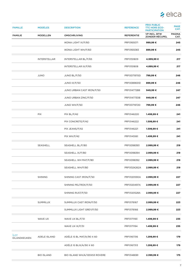

| <b>FAMILLE</b>              | <b>MODÈLES</b>      | <b>DESCRIPTION</b>            | <b>REFÉRENCE</b>  | <b>PRIX PUBLIC</b><br><b>TTC HORS ECO-</b><br><b>PARTICIPATION</b> | <b>PAGE</b><br>CAT.   |
|-----------------------------|---------------------|-------------------------------|-------------------|--------------------------------------------------------------------|-----------------------|
| <b>FAMILIE</b>              | <b>MODELLEN</b>     | <b>OMSCHRIJVING</b>           | <b>REFERENTIE</b> | <b>VP INCL. BTW</b><br>ZONDER RÉCUPEL                              | <b>PAGINA</b><br>CAT. |
|                             |                     | IKONA LIGHT IX/F/60           | PRF0165071        | 999,99€                                                            | 245                   |
|                             |                     | IKONA LIGHT WH/F/60           | PRF0165083        | 899,99€                                                            | 245                   |
|                             | <b>INTERSTELLAR</b> | INTERSTELLAR BL/F/65          | PRF0151809        | 4.999,99€                                                          | 217                   |
|                             |                     | INTERSTELLAR IX/F/65          | PRF0151808        | 4.899,99€                                                          | 217                   |
|                             | <b>JUNO</b>         | JUNO BL/F/50                  | PRF0071970D       | 799,99€                                                            | 246                   |
|                             |                     | JUNO IX/F/50                  | PRF0089651D       | 899,99€                                                            | 246                   |
|                             |                     | JUNO URBAN CAST IRON/F/50     | PRF0147728B       | 949,99€                                                            | 247                   |
|                             |                     | JUNO URBAN ZINC/F/50          | PRF0147730B       | 949,99€                                                            | 247                   |
|                             |                     | JUNO WH/F/50                  | PRF0071972D       | 799,99€                                                            | 246                   |
|                             | <b>PIX</b>          | PIX BL/F/42                   | PRF0146220        | 1.499,99€                                                          | 241                   |
|                             |                     | PIX CONCRETE/F/42             | PRF0146222        | 1.599,99€                                                          | 241                   |
|                             |                     | PIX JEANS/F/42                | PRF0146221        | 1.599,99€                                                          | 241                   |
|                             |                     | PIX WH/F/42                   | PRF0145561        | 1.499,99€                                                          | 241                   |
|                             | SEASHELL            | SEASHELL BL/F/80              | PRF0098393        | 2.999,99 €                                                         | 219                   |
|                             |                     | SEASHELL IX/F/80              | PRF0098394        | 2.999,99 €                                                         | 219                   |
|                             |                     | SEASHELL WH MAT/F/80          | PRF0098392        | 2.999,99€                                                          | 219                   |
|                             |                     | SEASHELL WH/F/80              | PRF0024262A       | 2.999,99€                                                          | 219                   |
|                             | <b>SHINING</b>      | SHINING CAST IRON/F/50        | PRF0120590A       | 2.999,99 €                                                         | 227                   |
|                             |                     | SHINING PELTROX/F/50          | PRF0120497A       | 2.999,99 €                                                         | 227                   |
|                             |                     | SHINING RUST/F/50             | PRF0120528A       | 2.999,99€                                                          | 227                   |
|                             | SUMMILUX            | SUMMILUX CAST IRON/F/50       | PRF0176167        | 2.999,99€                                                          | 223                   |
|                             |                     | SUMMILUX LIGHT GREY/F/50      | PRF0176166        | 2.999,99€                                                          | 223                   |
|                             | WAVE UX             | WAVE UX BL/F/51               | PRF0171193        | 1.499,99€                                                          | 235                   |
|                             |                     | WAVE UX IX/F/51               | PRF0171194        | 1.499,99€                                                          | 235                   |
| <b>ÎLOT</b><br>EILANDKEUKEN | ADELE ISLAND        | ADÉLE IS BL MAT/A/90 X 60     | PRF0167316        | 1.299,99€                                                          | 179                   |
|                             |                     | ADÉLE IS BLIX/A/90 X 60       | PRF0167313        | 1.299,99€                                                          | 179                   |
|                             | <b>BIO ISLAND</b>   | BIO ISLAND WH/A/120X53 ROVERE | PRF0148081        | 2.399,99€                                                          | 175                   |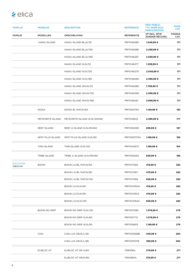| <b>FAMILLE</b>                   | <b>MODÈLES</b>       | <b>DESCRIPTION</b>           | <b>REFÉRENCE</b>  | <b>PRIX PUBLIC</b><br><b>TTC HORS ECO-</b><br><b>PARTICIPATION</b> | <b>PAGE</b><br>CAT.   |
|----------------------------------|----------------------|------------------------------|-------------------|--------------------------------------------------------------------|-----------------------|
| <b>FAMILIE</b>                   | <b>MODELLEN</b>      | <b>OMSCHRIJVING</b>          | <b>REFERENTIE</b> | <b>VP INCL. BTW</b><br><b>ZONDER RÉCUPEL</b>                       | <b>PAGINA</b><br>CAT. |
|                                  | HAIKU ISLAND         | HAIKU ISLAND BL/A/32         | PRF0146285        | 1.549,99 €                                                         | 171                   |
|                                  |                      | HAIKU ISLAND BL/A/120        | PRF0146286        | 2.299,99€                                                          | 171                   |
|                                  |                      | HAIKU ISLAND BL/A/180        | PRF0146287        | 2.599,99€                                                          | 171                   |
|                                  |                      | HAIKU ISLAND IX/A/32         | PRF0146277        | 1.299,99€                                                          | 171                   |
|                                  |                      | HAIKU ISLAND IX/A/120        | PRF0146279        | 2.049,99 €                                                         | 171                   |
|                                  |                      | HAIKU ISLAND IX/A/180        | PRF0146280        | 2.399,99 €                                                         | 171                   |
|                                  |                      | HAIKU ISLAND WH/A/32         | PRF0146289        | 1.799,99€                                                          | 171                   |
|                                  |                      | HAIKU ISLAND WH/A/120        | PRF0146290        | 2.399,99€                                                          | 171                   |
|                                  |                      | HAIKU ISLAND WH/A/180        | PRF0146291        | 2.699,99 €                                                         | 171                   |
|                                  | <b>IKONA</b>         | IKONA BL MAT/A/60            | PRF0164784        | 1.149,99 €                                                         | 183                   |
|                                  | METEORITE ISLAND     | METEORITE ISLAND IX/A/120X60 | PRF0148122        | 2.399,99 €                                                         | 177                   |
|                                  | REEF ISLAND          | REEF A ISLAND IX/A/90X60     | PRF0150290        | 839,99€                                                            | 187                   |
|                                  | SPOT PLUS ISLAND     | SPOT PLUS ISLAND IX/A/90     | PRF0097375A       | 1.199,99 €                                                         | 185                   |
|                                  | THIN ISLAND          | THIN ISLAND IX/A/120         | PRF0144973        | 1.199,99 €                                                         | 184                   |
|                                  | <b>TRIBE ISLAND</b>  | TRIBE A ISLAND IX/A/90X60    | PRF0150293        | 839,99€                                                            | 186                   |
| <b>ENCASTRÉ</b><br><b>INBOUW</b> | <b>BOXIN</b>         | BOXIN LX/BL MAT/A/60         | PRF0172166        | 419,99€                                                            | 282                   |
|                                  |                      | BOXIN LX/BL MAT/A/90         | PRF0172167        | 479,99€                                                            | 282                   |
|                                  |                      | BOXIN LX/BL MAT/A/120        | PRF0172168        | 659,99€                                                            | 282                   |
|                                  |                      | BOXIN LX/IX/A/60             | PRF0114760A       | 419,99€                                                            | 282                   |
|                                  |                      | BOXIN LX/IX/A/90             | PRF0114761A       | 479,99 €                                                           | 282                   |
|                                  |                      | BOXIN LX/IX/A/120            | PRF0114762A       | 659,99€                                                            | 282                   |
|                                  | <b>BOXIN NO DRIP</b> | BOXIN NO DRIP IX/A/120       | PRF0157280        | 1.379,99€                                                          | 279                   |
|                                  |                      | BOXIN NO DRIP IX/A/60        | PRF0157712        | 1.079,99 €                                                         | 279                   |
|                                  |                      | BOXIN NO DRIP IX/A/90        | PRF0156613        | 1.199,99 €                                                         | 279                   |
|                                  | <b>CIAK</b>          | CIAK LUX GR/A/L/56           | PRF0121068B       | 349,99€                                                            | 284                   |
|                                  |                      | CIAK LUX GR/A/L/86           | PRF0121107B       | 399,99€                                                            | 284                   |
|                                  | ELIBLOC HT           | ELIBLOC HT GR A/60           | 1768336A          | 279,99€                                                            | 271                   |
|                                  |                      | ELIBLOC HT GR/A/80           | 17614580A         | 319,99€                                                            | 271                   |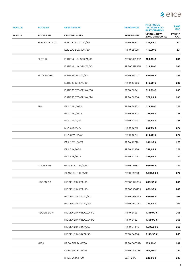

| <b>FAMILLE</b> | <b>MODÈLES</b>      | <b>DESCRIPTION</b>     | <b>REFÉRENCE</b>  | <b>PRIX PUBLIC</b><br><b>TTC HORS ECO-</b><br><b>PARTICIPATION</b> | <b>PAGE</b><br>CAT.   |
|----------------|---------------------|------------------------|-------------------|--------------------------------------------------------------------|-----------------------|
| <b>FAMILIE</b> | <b>MODELLEN</b>     | <b>OMSCHRIJVING</b>    | <b>REFERENTIE</b> | <b>VP INCL. BTW</b><br><b>ZONDER RÉCUPEL</b>                       | <b>PAGINA</b><br>CAT. |
|                | ELIBLOC HT LUX      | ELIBLOC LUX IX/A/60    | PRF0165627        | 379,99€                                                            | 271                   |
|                |                     | ELIBLOC LUX IX/A/80    | PRF0165628        | 419,99€                                                            | 271                   |
|                | ELITE <sub>14</sub> | ELITE 14 LUX GRIX/A/60 | PRF0037989B       | 189,99 €                                                           | 286                   |
|                |                     | ELITE 14 LUX GRIX/A/90 | PRF0037992B       | 219,99€                                                            | 286                   |
|                | ELITE 35 STD        | ELITE 35 GRIX/A/60     | PRF0139077        | 459,99€                                                            | 285                   |
|                |                     | ELITE 35 GRIX/A/90     | PRF0139069        | 519,99€                                                            | 285                   |
|                |                     | ELITE 35 STD GRIX/A/60 | PRF0166641        | 319,99€                                                            | 285                   |
|                |                     | ELITE 35 STD GRIX/A/90 | PRF0166636        | 379,99€                                                            | 285                   |
|                | <b>ERA</b>          | ERA C BL/A/52          | PRF0166822        | 219,99€                                                            | 273                   |
|                |                     | ERA C BL/A/72          | PRF0166823        | 249,99€                                                            | 273                   |
|                |                     | ERA C $IX/A/52$        | PRF0142723        | 239,99€                                                            | 273                   |
|                |                     | ERA C IX/A/72          | PRF0142741        | 269,99€                                                            | 273                   |
|                |                     | ERA C WH/A/52          | PRF0142716        | 219,99€                                                            | 273                   |
|                |                     | ERA C WH/A/72          | PRF0142728        | 249,99€                                                            | 273                   |
|                |                     | ERA S IX/A/52          | PRF0142886        | 339,99€                                                            | 272                   |
|                |                     | ERA S IX/A/72          | PRF0142744        | 369,99€                                                            | 272                   |
|                | <b>GLASS OUT</b>    | GLASS OUT IX/A/60      | PRF0109787        | 999,99€                                                            | 277                   |
|                |                     | GLASS OUT IX/A/90      | PRF0109788        | 1.099,99€                                                          | 277                   |
|                | HIDDEN 2.0          | HIDDEN 2.0 IX/A/60     | PRF0092333A       | 649,99€                                                            | 269                   |
|                |                     | HIDDEN 2.0 IX/A/90     | PRF0095073A       | 699,99€                                                            | 269                   |
|                |                     | HIDDEN 2.0 IXGL/A/60   | PRF0097676A       | 699,99€                                                            | 269                   |
|                |                     | HIDDEN 2.0 IXGL/A/90   | PRF0097708A       | 779,99 €                                                           | 269                   |
|                | HIDDEN 2.0 @        | HIDDEN 2.0 @ BLGL/A/60 | PRF0164361        | 1.149,99 €                                                         | 265                   |
|                |                     | HIDDEN 2.0 @ BLGL/A/90 | PRF0164391        | 1.199,99€                                                          | 265                   |
|                |                     | HIDDEN 2.0 @ IX/A/60   | PRF0164340        | 1.099,99€                                                          | 265                   |
|                |                     | HIDDEN 2.0 @ IX/A/90   | PRF0164356        | 1.149,99 €                                                         | 265                   |
|                | <b>KREA</b>         | KREA GFA BL/F/60       | PRF0104634B       | 179,99€                                                            | 287                   |
|                |                     | KREA GFA BL/F/90       | PRF0104635B       | 199,99€                                                            | 287                   |
|                |                     | KREA LX IX F/90        | 55311129A         | 229,99€                                                            | 287                   |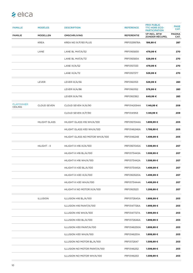| <b>FAMILLE</b>                      | <b>MODÈLES</b>       | <b>DESCRIPTION</b>              | <b>REFÉRENCE</b>  | <b>PRIX PUBLIC</b><br><b>TTC HORS ECO-</b><br><b>PARTICIPATION</b> | <b>PAGE</b><br>CAT.   |
|-------------------------------------|----------------------|---------------------------------|-------------------|--------------------------------------------------------------------|-----------------------|
| <b>FAMILIE</b>                      | <b>MODELLEN</b>      | <b>OMSCHRIJVING</b>             | <b>REFERENTIE</b> | <b>VP INCL. BTW</b><br><b>ZONDER RÉCUPEL</b>                       | <b>PAGINA</b><br>CAT. |
|                                     | <b>KREA</b>          | KREA NG IX/F/60 PLUG            | PRF0129978A       | 199,99€                                                            | 287                   |
|                                     | LANE                 | LANE BL MAT/A/52                | PRF0165830        | 479,99€                                                            | 270                   |
|                                     |                      | LANE BL MAT/A/72                | PRF0165834        | 529,99€                                                            | 270                   |
|                                     |                      | LANE $IX/A/52$                  | PRF0157333        | 479,99€                                                            | 270                   |
|                                     |                      | LANE IX/A/72                    | PRF0157377        | 529,99€                                                            | 270                   |
|                                     | LEVER                | LEVER IX/A/56                   | PRF0160153        | 529,99€                                                            | 283                   |
|                                     |                      | LEVER IX/A/86                   | PRF0160152        | 579,99€                                                            | 283                   |
|                                     |                      | LEVER IX/A/116                  | PRF0163362        | 649,99€                                                            | 283                   |
| <b>PLAFONNIER</b><br><b>CEILING</b> | <b>CLOUD SEVEN</b>   | CLOUD SEVEN IX/A/90             | PRF0142094A       | 1.149,99 €                                                         | 209                   |
|                                     |                      | CLOUD SEVEN IX/F/90             | PRF0141953        | 1.149,99 €                                                         | 209                   |
|                                     | <b>HILIGHT GLASS</b> | HILIGHT GLASS H16 WH/A/100      | PRF0167044A       | 1.899,99€                                                          | 205                   |
|                                     |                      | HILIGHT GLASS H30 WH/A/100      | PRF0146246A       | 1.799,99 €                                                         | 205                   |
|                                     |                      | HILIGHT GLASS NO MOTOR WH/A/100 | PRF0146248        | 1.499,99€                                                          | 205                   |
|                                     | HILIGHT - X          | HILIGHT-X H16 IX/A/100          | PRF0167045A       | 1.599,99€                                                          | 207                   |
|                                     |                      | HILIGHT-X H16 BL/A/100          | PRF0173443A       | 1.599,99€                                                          | 207                   |
|                                     |                      | HILIGHT-X H16 WH/A/100          | PRF0173442A       | 1.599,99 €                                                         | 207                   |
|                                     |                      | HILIGHT-X H30 BL/A/100          | PRF0173445A       | 1.499,99€                                                          | 207                   |
|                                     |                      | HILIGHT-X H30 IX/A/100          | PRF0163520A       | 1.499,99 €                                                         | 207                   |
|                                     |                      | HILIGHT-X H30 WH/A/100          | PRF0173444A       | 1.499,99€                                                          | 207                   |
|                                     |                      | HILIGHT-X NO MOTOR IX/A/100     | PRF0163523        | 1.299,99€                                                          | 207                   |
|                                     | <b>ILLUSION</b>      | ILLUSION H16 BL/A/100           | PRF0172645A       | 1.999,99€                                                          | 203                   |
|                                     |                      | ILLUSION H16 PAINT/A/100        | PRF0147726A       | 1.999,99 €                                                         | 203                   |
|                                     |                      | ILLUSION H16 WH/A/100           | PRF0147727A       | 1.999,99 €                                                         | 203                   |
|                                     |                      | ILLUSION H30 BL/A/100           | PRF0172646A       | 1.899,99€                                                          | 203                   |
|                                     |                      | ILLUSION H30 PAINT/A/100        | PRF0146250A       | 1.899,99€                                                          | 203                   |
|                                     |                      | ILLUSION H30 WH/A/100           | PRF0146251A       | 1.899,99€                                                          | 203                   |
|                                     |                      | ILLUSION NO MOTOR BL/A/100      | PRF0172647        | 1.599,99€                                                          | 203                   |
|                                     |                      | ILLUSION NO MOTOR PAINT/A/100   | PRF0146252        | 1.599,99€                                                          | 203                   |
|                                     |                      | ILLUSION NO MOTOR WH/A/100      | PRF0146253        | 1.599,99€                                                          | 203                   |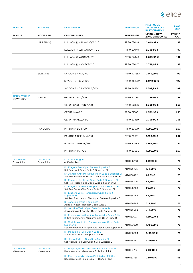

| <b>FAMILLE</b>                         | <b>MODÈLES</b>                    | <b>DESCRIPTION</b>                                                                                                          | <b>REFÉRENCE</b>  | <b>PRIX PUBLIC</b><br><b>TTC HORS ECO-</b><br><b>PARTICIPATION</b> | <b>PAGE</b><br>CAT.   |
|----------------------------------------|-----------------------------------|-----------------------------------------------------------------------------------------------------------------------------|-------------------|--------------------------------------------------------------------|-----------------------|
| <b>FAMILIE</b>                         | <b>MODELLEN</b>                   | <b>OMSCHRIJVING</b>                                                                                                         | <b>REFERENTIE</b> | <b>VP INCL, BTW</b><br><b>ZONDER RÉCUPEL</b>                       | <b>PAGINA</b><br>CAT. |
|                                        | LULLABY @                         | LULLABY @ WH WOOD/A/120                                                                                                     | PRF0167048        | 2.649,99 €                                                         | 197                   |
|                                        |                                   | LULLABY @ WH WOOD/F/120                                                                                                     | PRF0167049        | 2.799,99€                                                          | 197                   |
|                                        |                                   | LULLABY @ WOOD/A/120                                                                                                        | PRF0167046        | 2.649,99 €                                                         | 197                   |
|                                        |                                   | LULLABY @ WOOD/F/120                                                                                                        | PRF0167047        | 2.799,99€                                                          | 197                   |
|                                        | SKYDOME                           | SKYDOME H16 A/100                                                                                                           | PRF0147735A       | 2.149,99 €                                                         | 199                   |
|                                        |                                   | SKYDOME H30 A/100                                                                                                           | PRF0146232A       | 2.049,99€                                                          | 199                   |
|                                        |                                   | SKYDOME NO MOTOR A/100                                                                                                      | PRF0146230        | 1.699,99 €                                                         | 199                   |
| <b>RETRACTABLE</b><br><b>DOWNDRAFT</b> | <b>GETUP</b>                      | GETUP BL MAT/A/90                                                                                                           | PRF0162784        | 2.399,99 €                                                         | 253                   |
|                                        |                                   | GETUP CAST IRON/A/90                                                                                                        | PRF0162866        | 2.399,99 €                                                         | 253                   |
|                                        |                                   | GETUP IX/A/90                                                                                                               | PRF0161680        | 2.399,99€                                                          | 253                   |
|                                        |                                   | GETUP NAKED/A/90                                                                                                            | PRF0162869        | 2.399,99 €                                                         | 253                   |
|                                        | <b>PANDORA</b>                    | PANDORA BL/F/90                                                                                                             | PRF0120979        | 1.899,99€                                                          | 257                   |
|                                        |                                   | PANDORA GME BL/A/90                                                                                                         | PRF0120981        | 1.799,99 €                                                         | 257                   |
|                                        |                                   | PANDORA GME IX/A/90                                                                                                         | PRF0120982        | 1.799,99€                                                          | 257                   |
|                                        |                                   | PANDORA IX/F/90                                                                                                             | PRF0120980        | 1.899,99€                                                          | 257                   |
| <b>Accessoires</b><br>Open Suite       | <b>Accessoires</b><br>Open Suite  | <b>Kit Cadre Etagere</b><br>et Kader Rek                                                                                    | KIT0166768        | 209,99€                                                            | 75                    |
|                                        |                                   | Kit Etagere Bois Open Suite & Superior BI<br>Set Rek Hout Open Suite & Superior Bl                                          | KIT0166475        | 139,99€                                                            | 75                    |
|                                        |                                   | Kit Etagere Grille Metallique Open Suite & Superior BI<br>Set Rek Metalen Rooster Open Suite & Superior Bl                  | KIT0166472        | 89,99€                                                             | 75                    |
|                                        |                                   | Kit Etagere Metallique Open Suite & Superior BI<br>Set Rek Metaalglans Open Suite & Superior Bl                             | KIT0166470        | 89,99€                                                             | 75                    |
|                                        |                                   | Kit Etagere Verre Fume Open Suite & Superior BI<br>Set Rek Getint Glas Open Suite & Superior Bl                             | KIT0166463        | 99,99€                                                             | 75                    |
|                                        |                                   | Kit Etagere Verre Transparent Open Suite &<br><b>Superior BI</b><br>Set Rek Transparant Glas Open Suite & Superior Bl       | KIT0166455        | 89,99€                                                             | 75                    |
|                                        |                                   | <b>Kit Jonction Trellis Open Suite BI</b><br>Aansluitingsset Rooster Open Suite Bl                                          | KIT0166963        | 319,99€                                                            | 75                    |
|                                        |                                   | Kit Jonction Trellis Open Suite Superior Bl<br>Aansluitingsset Rooster Open Suite Superior BI                               | KIT0166962        | 319,99€                                                            | 75                    |
|                                        |                                   | Kit Module Aspiration Supplementaire Open Suite<br>BI Set Bijkomende Afzuigmodule Open Suite BI                             | KIT0167073        | 1.699,99€                                                          | 75                    |
|                                        |                                   | Kit Module Aspiration Supplementaire Open Suite<br><b>Superior BI</b><br>Set Bijkomende Afzuigmodule Open Suite Superior Bl | KIT0167079        | 1.799,99 €                                                         | 75                    |
|                                        |                                   | Kit Module Full Led Open Suite BI<br>Set Module Full Led Open Suite Bl                                                      | KIT0166964        | 1.149,99 €                                                         | 75                    |
|                                        |                                   | Kit Module Full Led Open Suite Superior BI<br>Set Module Full Led Open Suite Superior BI                                    | KIT0166961        | 1.149,99 €                                                         | 75                    |
| <b>Accessoires</b><br>Nikolatesla      | <b>Accessoires</b><br>Nikolatesla | Kit Recyclage Nikolatesla Fit Extérieur Plinthe<br>Recirculatieset Nikolatesla Fit Buiten Plint                             | KIT0167757        | 300,00 €                                                           | 55                    |
|                                        |                                   | Kit Recyclage Nikolatesla Fit Intérieur Plinthe<br>Recirculatieset Nikolatesla Fit Binnen Plint                             | KIT0167756        | 240,00 €                                                           | 55                    |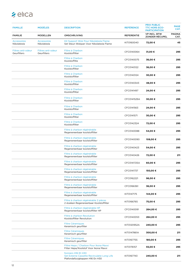| <b>FAMILLE</b>                    | <b>MODÈLES</b>                    | <b>DESCRIPTION</b>                                                                                   | <b>REFÉRENCE</b>  | <b>PRIX PUBLIC</b><br><b>TTC HORS ECO-</b><br><b>PARTICIPATION</b> | <b>PAGE</b><br>CAT.   |
|-----------------------------------|-----------------------------------|------------------------------------------------------------------------------------------------------|-------------------|--------------------------------------------------------------------|-----------------------|
| <b>FAMILIE</b>                    | <b>MODELLEN</b>                   | <b>OMSCHRIJVING</b>                                                                                  | <b>REFERENTIE</b> | <b>VP INCL. BTW</b><br><b>ZONDER RÉCUPEL</b>                       | <b>PAGINA</b><br>CAT. |
| <b>Accessoires</b><br>Nikolatesla | <b>Accessoires</b><br>Nikolatesla | Kit Support Wok Pour Nikolatesla Flame<br>Set Steun Wokpan Voor Nikolatesla Flame                    | KIT0160040        | 72,00 €                                                            | 45                    |
| Filtres anti-odeur<br>Geurfilters | Filtres anti-odeur<br>Geurfilters | Filtre à Charbon<br>Koolstoffilter                                                                   | CFC0140064        | 31,00 €                                                            | 295                   |
|                                   |                                   | Filtre à Charbon<br>Koolstoffilte                                                                    | CFC0140075        | 36,00 €                                                            | 295                   |
|                                   |                                   | Filtre à Charbon<br>Koolstoffilter                                                                   | CFC0140122        | 36,00 €                                                            | 295                   |
|                                   |                                   | Filtre à Charbon<br>Koolstoffilter                                                                   | CFC0140124        | 30,00 €                                                            | 295                   |
|                                   |                                   | Filtre à Charbon<br>Koolstoffilter                                                                   | CFC0140343        | 48,00 €                                                            | 295                   |
|                                   |                                   | Filtre à Charbon<br>Koolstoffilter                                                                   | CFC0141497        | 24,00 €                                                            | 295                   |
|                                   |                                   | Filtre à Charbon<br>Koolstoffilter                                                                   | CFC0141529A       | 30,00€                                                             | 295                   |
|                                   |                                   | Filtre à Charbon<br>Koolstoffilter                                                                   | CFC0141563        | 24,00 €                                                            | 295                   |
|                                   |                                   | Filtre à Charbon<br>Koolstoffilter                                                                   | CFC0141571        | 30,00€                                                             | 295                   |
|                                   |                                   | Filtre à Charbon<br>Koolstoffilter                                                                   | CFC0142324        | 72,00 €                                                            | 295                   |
|                                   |                                   | Filtre à charbon régénérable<br>Regenereerbaar koolstoffilter                                        | CFC0140088        | 54,00 €                                                            | 295                   |
|                                   |                                   | Filtre à charbon régénérable<br>Regenereerbaar koolstoffilter                                        | CFC0140090        | 108,00 €                                                           | 295                   |
|                                   |                                   | Filtre à charbon régénérable<br>Regenereerbaar koolstoffilter                                        | CFC0140423        | 54,00 €                                                            | 295                   |
|                                   |                                   | Filtre à charbon régénérable<br>Regenereerbaar koolstoffilter                                        | CFC0140426        | 72,00 €                                                            | 211                   |
|                                   |                                   | Filtre à charbon régénérable<br>Regenereerbaar koolstoffilter                                        | CFC0141725A       | 60,00€                                                             | 295                   |
|                                   |                                   | Filtre à charbon régénérable<br>Regenereerbaar koolstoffilter                                        | CFC0141737        | 150,00 €                                                           | 295                   |
|                                   |                                   | Filtre à charbon régénérable<br>Regenereerbaar koolstoffilter                                        | CFC0162221        | 96,00€                                                             | 295                   |
|                                   |                                   | Filtre à charbon régénérable<br>Regenereerbaar koolstoffilter                                        | CFC0166361        | 36,00 €                                                            | 295                   |
|                                   |                                   | Filtre à charbon régénérable<br>Regenereerbaar koolstoffilter                                        | KIT0147175        | 144,00 €                                                           | 295                   |
|                                   |                                   | Filtre à charbon régénérable 2 pièces<br>2 stukken Regenereerbaar Koolstoffilter                     | KIT0166765        | 75,00 €                                                            | 295                   |
|                                   |                                   | Filtre à charbon régénérable HP<br>Regenereerbaar koolstoffilter HP                                  | CFC0140091        | 264,00 €                                                           | 295                   |
|                                   |                                   | Filtre à charbon Revolution<br>Koolstoffilter Revolution                                             | CFC0140053        | 264,00 €                                                           | 295                   |
|                                   |                                   | <b>Filtre Céramiques</b><br>Keramisch geurfilter                                                     | KIT0120952A       | 240,00 €                                                           | 295                   |
|                                   |                                   | <b>Filtre Céramiques</b><br>Keramisch geurfilter                                                     | KIT0147861A       | 300,00 €                                                           | 211                   |
|                                   |                                   | <b>Filtre Céramiques</b><br>Keramisch geurfilter                                                     | KIT0167755        | 180,00 €                                                           | 295                   |
|                                   |                                   | Filtre Hepa / Charbon Pour Ikona Maxxi<br>Filter Hepa/Koolstof Voor Ikona Maxxi                      | KIT0176157        | 55,00 €                                                            | 295                   |
|                                   |                                   | fonniers H16 Et H30<br>Set Externe Cassette Recirculatie Long Life<br>Plafondafzuigkappen H16 En H30 | KIT0167743        | 240,00€                                                            | 211                   |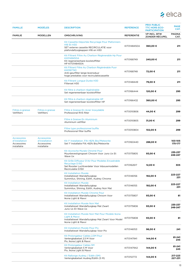

| <b>FAMILLE</b>                                                     | <b>MODÈLES</b>                                                     | <b>DESCRIPTION</b>                                                                                                                                | <b>REFÉRENCE</b>  | <b>PRIX PUBLIC</b><br><b>TTC HORS ECO-</b><br><b>PARTICIPATION</b> | <b>PAGE</b><br>CAT.   |
|--------------------------------------------------------------------|--------------------------------------------------------------------|---------------------------------------------------------------------------------------------------------------------------------------------------|-------------------|--------------------------------------------------------------------|-----------------------|
| <b>FAMILIE</b>                                                     | <b>MODELLEN</b>                                                    | <b>OMSCHRIJVING</b>                                                                                                                               | <b>REFERENTIE</b> | <b>VP INCL. BTW</b><br><b>ZONDER RÉCUPEL</b>                       | <b>PAGINA</b><br>CAT. |
|                                                                    |                                                                    | Kit Cassette Déportée Recyclage Pour Plafonniers<br><b>H16 Et H30</b><br>SET externe cassette RECIRCULATIE voor<br>plafondafzuigkappen H16 en H30 | KIT0148450A       | 360,00€                                                            | 211                   |
|                                                                    |                                                                    | Kit Filtrant Filtre Au Charbon Règènerable Hp Pour<br>Kit0148450A<br>Kit regenereerbare koolstoffilter<br><b>HP KIT0148450A</b>                   | KIT0168749        | 240,00 €                                                           | 211                   |
|                                                                    |                                                                    | Kit Filtrant Filtre Au Charbon Règènèrable Puor<br>Kit0167743<br>Anti-geurfilter lange levensduur<br>hoge prestaties voor recirculatiecassette    | KIT0168748        | 72,00 €                                                            | 211                   |
|                                                                    |                                                                    | Kit Filtrant Longue Durèe H30<br>Filterset H30                                                                                                    | KIT0148449        | 79,00 €                                                            | 211                   |
|                                                                    |                                                                    | Kit filtre à charbon régénérable<br>Set regenereerbaar koolstoffilter                                                                             | KIT0166444        | 120,00 €                                                           | 295                   |
|                                                                    |                                                                    | Kit filtre à charbon régénérable HP<br>Set regenereerbaar koolstoffilter HP                                                                       | KIT0166432        | 360,00€                                                            | 295                   |
| Filtres à graisse<br>Vetfilters                                    | Filtres à graisse<br>Vetfilters                                    | Filtre à Graisse En Acier Inoxydable<br>Professional RVS filter                                                                                   | KIT0010806        | 44,00 €                                                            | 299                   |
|                                                                    |                                                                    | Filtre à Graisse En Aluminium<br>Aluminium vetfilter                                                                                              | KIT0010805        | 31,00 €                                                            | 299                   |
|                                                                    |                                                                    | Filtre type professionnel buffle<br>Professional filter buffle                                                                                    | KIT0010804        | 102,00 €                                                           | 299                   |
| <b>Accessoires</b><br>d'installation<br>Accessoires<br>installatie | <b>Accessoires</b><br>d'installation<br>Accessoires<br>installatie | Kit 1º Installation .Filt.>82% Bio/Meteorite<br>Set 1º Installatie Filt.>82% Bio/Meteorite                                                        | KIT0160440        | 288,00 €                                                           | 103-105<br>175-177    |
|                                                                    |                                                                    | Kit Accroche Murale Chromé Pour<br>Muurbevestigingsset Chroom Voor Juno Ux Et<br>Wave Ux                                                          | KIT0175805        | 93,00 €                                                            | 235-237<br>246-247    |
|                                                                    |                                                                    | Kit Grille Diffuseur D'Air Pour Modeles Encastrable<br>Recyclage D.150<br>Set Rooster Luchtverdeler Voor Inbouwmodellen<br>Recirculatie D.150     | KIT0162617        | 12,00 €                                                            | 305                   |
|                                                                    |                                                                    | <b>Kit Installation Murale</b><br>Installatieset Wandafzuigkap<br>Summilux, Shining, Edith, Audrey Chrome                                         | KIT0146156        | 192,00 €                                                           | 223-227<br>231        |
|                                                                    |                                                                    | <b>Kit Installation Murale</b><br>Installatieset Wandafzuigkap<br>Summilux, Shining, Edith, Audrey Noir Mat                                       | KIT0146155        | 192,00 €                                                           | 223-227<br>231        |
|                                                                    |                                                                    | Kit Installation Murale Chrome Pour<br>Installatieset Wandafzuigkap Chroom Voor<br>Ikona Light & Maxxi                                            | KIT0175807        | 93,00 €                                                            | 81                    |
|                                                                    |                                                                    | Kit Installation Murale Noir Mat<br>Installatieset Wandafzuigkap Mat Zwart<br>Juno Ux Et Wave Ux                                                  | KIT0175806        | 93,00 €                                                            | 235-237<br>246-247    |
|                                                                    |                                                                    | Kit Installation Murale Noir Mat Pour Modele Ikona<br>Light & Maxxi<br>Installatieset Wandafzuigkap Mat Zwart Voor Model<br>Ikona Light & Maxxi   | KIT0175808        | 93,00 €                                                            | 81                    |
|                                                                    |                                                                    | <b>Kit Installation Murale Pour Pix</b><br>Installatieset Wandafzuigkap Voor Pix                                                                  | KIT0146153        | 96,00€                                                             | 241                   |
|                                                                    |                                                                    | Kit Prolongateur Cables 2,5M Pour<br>Verlengkabelset 2,5 M Voor<br>Pix, Ikona Light & Maxxi                                                       | KIT0147941        | 144,00 €                                                           | 81-241<br>245         |
|                                                                    |                                                                    | <b>Kit Prolongateur Cables 5M</b><br>Verlengkabelset 5 M Voor<br>Pix, Ikona Light & Maxxi                                                         | KIT0147942        | 144,00 €                                                           | 81-241<br>245         |
|                                                                    |                                                                    | Kit Rallonge Audrey / Edith (5M)<br>Verlengkabelset Audrey/Edith (5 M)                                                                            | KIT0112772        | 144,00 €                                                           | 217-223<br>227-231    |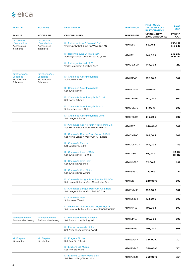| <b>FAMILLE</b>                                                              | <b>MODÈLES</b>                                                              | <b>DESCRIPTION</b>                                                                       | <b>REFÉRENCE</b>  | <b>PRIX PUBLIC</b><br><b>TTC HORS ECO-</b><br><b>PARTICIPATION</b> | <b>PAGE</b><br>CAT.   |
|-----------------------------------------------------------------------------|-----------------------------------------------------------------------------|------------------------------------------------------------------------------------------|-------------------|--------------------------------------------------------------------|-----------------------|
| <b>FAMILIE</b>                                                              | <b>MODELLEN</b>                                                             | <b>OMSCHRIJVING</b>                                                                      | <b>REFERENTIE</b> | <b>VP INCL. BTW</b><br><b>ZONDER RÉCUPEL</b>                       | <b>PAGINA</b><br>CAT. |
| <b>Accessoires</b><br>d'installation<br>Accessoires<br>installatie          | <b>Accessoires</b><br>d'installation<br>Accessoires<br>installatie          | Kit Rallonge Juno Et Wave (2,5M)<br>Verlengkabelset Juno En Wave (2,5 M)                 | KIT01889          | 85,00 €                                                            | 235-237<br>246-247    |
|                                                                             |                                                                             | Kit Rallonge Juno Et Wave (5M)<br>Verlengkabelset Juno En Wave (5 M)                     | KIT01921          | 144,00 €                                                           | 235-237<br>246-247    |
|                                                                             |                                                                             | Kit Rallonge Seashell (2,5)<br>Verlengkabelset Seashell (2,5)                            | KIT0067590        | 144,00 €                                                           | 219                   |
| <b>Kit Cheminées</b><br><b>Spéciales</b><br><b>Kit Speciale</b><br>Schouwen | <b>Kit Cheminées</b><br><b>Spéciales</b><br><b>Kit Speciale</b><br>Schouwen | Kit Cheminée Acier Inoxydable<br>Schouwset Inox                                          | KIT0171543        | 132,00 €                                                           | 302                   |
|                                                                             |                                                                             | Kit Cheminée Acier Inoxydable<br>Schouwset Inox                                          | KIT0177845        | 110,00 €                                                           | 302                   |
|                                                                             |                                                                             | Kit Cheminée Acier Inoxydable Court<br>Set Korte Schouw                                  | KIT0010704        | 180,00 €                                                           | 302                   |
|                                                                             |                                                                             | Kit Cheminée Acier Inoxydable H12<br>Schoorsteenset H12 IX                               | KIT0091876        | 51,00€                                                             | 302                   |
|                                                                             |                                                                             | Kit Cheminée Acier Inoxydable Long<br>Set Lange Schouw                                   | KIT0010703        | 216,00€                                                            | 302                   |
|                                                                             |                                                                             | Kit Cheminée Courte Pour Modèle Mini Om<br>Set Korte Schouw Voor Model Mini Om           | KIT01797          | 240,00 €                                                           | 302                   |
|                                                                             |                                                                             | Kit Cheminée Courte Pour Om Air & Belt<br>Set Korte Schouw Voor Om Air & Belt            | KIT0010700        | 168,00 €                                                           | 302                   |
|                                                                             |                                                                             | Kit Cheminée Elektra<br>Set Schouw Elektra                                               | KIT0008747A       | 144,00 €                                                           | 159                   |
|                                                                             |                                                                             | Kit Cheminee Inox H.810 Ix<br>Schouwset Inox H.810 Ix                                    | KIT00780          | 96,00 €                                                            | 113-114<br>117-118    |
|                                                                             |                                                                             | Kit Cheminée Krea Inox<br>Schouwset Krea Inox                                            | KIT0149390        | 72,00 €                                                            | 287                   |
|                                                                             |                                                                             | Kit Cheminée Krea Noire<br>Schouwset Krea Zwart                                          | KIT0150620        | 72,00 €                                                            | 287                   |
|                                                                             |                                                                             | Kit Cheminée Longue Pour Modèle Mini Om<br>Set Lange Schouw Voor Model Mini Om           | KIT01513          | 240,00 €                                                           | 302                   |
|                                                                             |                                                                             | Kit Cheminée Longue Pour Om Air & Belt<br>Set Lange Schouw Voor Belt 80 Cm               | KIT0010439        | 192,00 €                                                           | 302                   |
|                                                                             |                                                                             | <b>Kit Cheminée Noir</b><br>Schouwset Zwart                                              | KIT0166364        | 132,00 €                                                           | 302                   |
|                                                                             |                                                                             | Kit cheminée télescopique h18,5+h18,5 IX<br>Set telescopische schoorsteen h18,5+h18,5 IX | KIT0141458        | 108,00 €                                                           | 302                   |
| Radiocommande<br>Aafstandsbediening                                         | Radiocommande<br>Aafstandsbediening                                         | <b>Kit Radiocommande Blanche</b><br>Set Afstandsbediening Wit                            | KIT0121468        | 108,00 €                                                           | 303                   |
|                                                                             |                                                                             | <b>Kit Radiocommande Noire</b><br>Set Afstandsbediening Zwart                            | KIT0121469        | 108,00 €                                                           | 303                   |
| Kit Étagère<br>Kit plankje                                                  | Kit Étagère<br>Kit plankje                                                  | Kit Étagère Bio Ilot<br>Set Rek Bio Eiland                                               | KIT0120947        | 384,00 €                                                           | 301                   |
|                                                                             |                                                                             | Kit Etagère Bio Murale<br>Set Rek Bio Wand                                               | KIT0120946        | 360,00€                                                            | 301                   |
|                                                                             |                                                                             | Kit Etagère Lullaby Wood Bois<br>Set Rek Lullaby Wood Hout                               | KIT0147858        | 360,00 €                                                           | 301                   |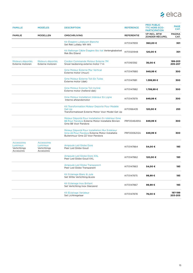

| <b>FAMILLE</b>                                               | <b>MODÈLES</b>                                               | <b>DESCRIPTION</b>                                                                                                                | <b>REFÉRENCE</b>  | <b>PRIX PUBLIC</b><br><b>TTC HORS ECO-</b><br><b>PARTICIPATION</b> | <b>PAGE</b><br>CAT.   |
|--------------------------------------------------------------|--------------------------------------------------------------|-----------------------------------------------------------------------------------------------------------------------------------|-------------------|--------------------------------------------------------------------|-----------------------|
| <b>FAMILIE</b>                                               | <b>MODELLEN</b>                                              | <b>OMSCHRIJVING</b>                                                                                                               | <b>REFERENTIE</b> | <b>VP INCL. BTW</b><br>ZONDER RÉCUPEL                              | <b>PAGINA</b><br>CAT. |
|                                                              |                                                              | Kit Étagère Lullabywh Blanche<br>Set Rek Lullaby Wh Wit                                                                           | KIT0147859        | 360,00€                                                            | 301                   |
|                                                              |                                                              | Kit Rallonge Câble Étagère Bio Ilot Verlengkabelset<br>Rek Bio Eiland                                                             | KIT0120948        | 120,00€                                                            | 301                   |
| Moteurs déportés<br>Externe motoren                          | Moteurs déportés<br>Externe motoren                          | Cordon Commande Moteur Externe 7M<br>Snoer bediening externe motor 7 m                                                            | KIT0161392        | 36,00 €                                                            | 199-203<br>205-207    |
|                                                              |                                                              | <b>Gme Moteur Externe Mur Vertical</b><br>Externe motor (muur)                                                                    | KIT0147880        | 949,99€                                                            | 300                   |
|                                                              |                                                              | <b>Gme Moteur Externe Toit En Tuiles</b><br>Externe motor (dak)                                                                   | KIT0147881        | 1.399,99 €                                                         | 300                   |
|                                                              |                                                              | <b>Gme Moteur Externe Toit Incliné</b><br>Externe motor (hellend dak)                                                             | KIT0147882        | 1.799,99€                                                          | 300                   |
|                                                              |                                                              | Gme Moteur Installation Intérieur En Ligne<br>Interne afstandsmotor                                                               | KIT0147879        | 849,99€                                                            | 300                   |
|                                                              |                                                              | Kit Transformation Moteur Deporte Pour Modele<br><b>Get Up</b><br>Transformatieset Externe Motor Voor Model Get Up                | KIT0166435        | 120,00 €                                                           | 253                   |
|                                                              |                                                              | Moteur Déporté Pour Installation En Intérieur Gme<br>88 Pour Pandora Externe Motor Installatie Binnen<br>Gme 88 Voor Pandora      | PRF0046491A       | 849,99€                                                            | 300                   |
|                                                              |                                                              | Moteur Déporté Pour Installation Mur Extérieur<br>Gme 22 Pour Pandora Externe Motor Installatie<br>Buitenmuur Gme 22 Voor Pandora | PRF0006212A       | 849,99€                                                            | 300                   |
| <b>Accessoires</b><br>Lumineux<br>Verlichtings<br>Accesoires | <b>Accessoires</b><br>Lumineux<br>Verlichtings<br>Accesoires | <b>Ampoule Led Globe Dore</b><br>Peer Led Globe Goud                                                                              | KIT0147864        | 54,00 €                                                            | 193                   |
|                                                              |                                                              | Ampoule Led Globe Dore XXL<br>Peer Led Globe Goud XXL                                                                             | KIT0147862        | 120,00 €                                                           | 193                   |
|                                                              |                                                              | <b>Ampoule Led Globe Transparent</b><br>Peer Led Globe Transparant                                                                | KIT0147863        | 54,00 €                                                            | 193                   |
|                                                              |                                                              | Kit Eclairage Blanc & Jute<br>Set Witte Verlichting & Jute                                                                        | KIT0147875        | 99,99€                                                             | 193                   |
|                                                              |                                                              | Kit Eclairage Inox Brillant<br>Set Verlichting Inox Glanzend                                                                      | KIT0147867        | 99,99€                                                             | 193                   |
|                                                              |                                                              | <b>Kit Eclairage Variateur</b><br>Set Lichtregelaar                                                                               | KIT0147878        | 78,00 €                                                            | 197-199<br>203-205    |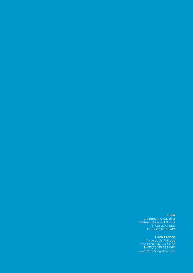Elica Via Ermanno Casoli, 2 60044 Fabriano AN Italy T +39 0732 6101

F +39 0732 610249

Elica France 11 rue Louis Philippe 92200 Neuilly Sur Seine T +33(0) 185 533 060 contactfrance@elica.com